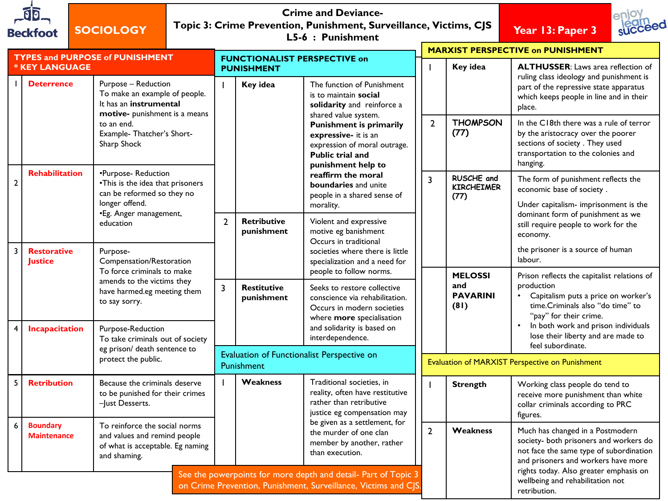| <b>Beckfoot</b>       |                                       | <b>SOCIOLOGY</b>                                                                                                                                                  |                                                                  |                                                    |                                                          | <b>Crime and Deviance-</b><br>Topic 3: Crime Prevention, Punishment, Surveillance, Victims, CJS<br>L5-6 : Punishment                                                                                                                                      |                |                                                  | Year 13: Paper 3                                                                                                                                                                                                                                         |  |  |
|-----------------------|---------------------------------------|-------------------------------------------------------------------------------------------------------------------------------------------------------------------|------------------------------------------------------------------|----------------------------------------------------|----------------------------------------------------------|-----------------------------------------------------------------------------------------------------------------------------------------------------------------------------------------------------------------------------------------------------------|----------------|--------------------------------------------------|----------------------------------------------------------------------------------------------------------------------------------------------------------------------------------------------------------------------------------------------------------|--|--|
| <b>* KEY LANGUAGE</b> |                                       | <b>TYPES and PURPOSE of PUNISHMENT</b>                                                                                                                            |                                                                  |                                                    | <b>FUNCTIONALIST PERSPECTIVE on</b><br><b>PUNISHMENT</b> |                                                                                                                                                                                                                                                           |                | Key idea                                         | <b>MARXIST PERSPECTIVE on PUNISHMENT</b><br><b>ALTHUSSER:</b> Laws area reflection of                                                                                                                                                                    |  |  |
|                       | <b>Deterrence</b>                     | Purpose - Reduction<br>To make an example of people.<br>It has an instrumental                                                                                    |                                                                  |                                                    | Key idea                                                 | The function of Punishment<br>is to maintain social<br>solidarity and reinforce a                                                                                                                                                                         |                |                                                  | ruling class ideology and punishment is<br>part of the repressive state apparatus<br>which keeps people in line and in their<br>place.                                                                                                                   |  |  |
|                       |                                       | to an end.<br>Sharp Shock                                                                                                                                         | motive- punishment is a means<br>Example-Thatcher's Short-       |                                                    |                                                          | shared value system.<br><b>Punishment is primarily</b><br>expressive- it is an<br>expression of moral outrage.<br><b>Public trial and</b><br>punishment help to<br>reaffirm the moral<br>boundaries and unite<br>people in a shared sense of<br>morality. | $\mathbf{2}$   | <b>THOMPSON</b><br>(77)                          | In the C18th there was a rule of terror<br>by the aristocracy over the poorer<br>sections of society. They used<br>transportation to the colonies and<br>hanging.                                                                                        |  |  |
| $\mathbf{2}$          | <b>Rehabilitation</b>                 | •Purpose-Reduction<br>•This is the idea that prisoners<br>can be reformed so they no<br>longer offend.                                                            |                                                                  |                                                    |                                                          |                                                                                                                                                                                                                                                           | 3              | RUSCHE and<br><b>KIRCHEIMER</b><br>(77)          | The form of punishment reflects the<br>economic base of society.<br>Under capitalism- imprisonment is the                                                                                                                                                |  |  |
|                       |                                       | •Eg. Anger management,<br>education                                                                                                                               |                                                                  | $\overline{2}$                                     | <b>Retributive</b><br>punishment                         | Violent and expressive<br>motive eg banishment<br>Occurs in traditional                                                                                                                                                                                   |                |                                                  | dominant form of punishment as we<br>still require people to work for the<br>economy.                                                                                                                                                                    |  |  |
| 3                     | <b>Restorative</b><br><b>Justice</b>  | Purpose-                                                                                                                                                          | Compensation/Restoration                                         |                                                    |                                                          | societies where there is little<br>specialization and a need for                                                                                                                                                                                          |                |                                                  | the prisoner is a source of human<br>labour.                                                                                                                                                                                                             |  |  |
| 4                     | <b>Incapacitation</b>                 | To force criminals to make<br>amends to the victims they<br>have harmed.eg meeting them<br>to say sorry.<br>Purpose-Reduction<br>To take criminals out of society |                                                                  | $\overline{3}$<br><b>Restitutive</b><br>punishment |                                                          | people to follow norms.<br>Seeks to restore collective<br>conscience via rehabilitation.<br>Occurs in modern societies<br>where more specialisation<br>and solidarity is based on<br>interdependence.                                                     |                | <b>MELOSSI</b><br>and<br><b>PAVARINI</b><br>(81) | Prison reflects the capitalist relations of<br>production<br>Capitalism puts a price on worker's<br>time.Criminals also "do time" to<br>"pay" for their crime.<br>In both work and prison individuals<br>$\bullet$<br>lose their liberty and are made to |  |  |
|                       |                                       | eg prison/ death sentence to<br>protect the public.                                                                                                               |                                                                  | Evaluation of Functionalist Perspective on         |                                                          |                                                                                                                                                                                                                                                           |                | feel subordinate.                                |                                                                                                                                                                                                                                                          |  |  |
|                       |                                       |                                                                                                                                                                   |                                                                  |                                                    | Punishment                                               |                                                                                                                                                                                                                                                           |                | Evaluation of MARXIST Perspective on Punishment  |                                                                                                                                                                                                                                                          |  |  |
| 5                     | <b>Retribution</b>                    | -Just Desserts.                                                                                                                                                   | Because the criminals deserve<br>to be punished for their crimes |                                                    | <b>Weakness</b>                                          | Traditional societies, in<br>reality, often have restitutive<br>rather than retributive<br>justice eg compensation may                                                                                                                                    |                | <b>Strength</b>                                  | Working class people do tend to<br>receive more punishment than white<br>collar criminals according to PRC<br>figures.                                                                                                                                   |  |  |
| 6                     | <b>Boundary</b><br><b>Maintenance</b> | To reinforce the social norms<br>and values and remind people<br>of what is acceptable. Eg naming<br>and shaming.                                                 |                                                                  |                                                    |                                                          | be given as a settlement, for<br>the murder of one clan<br>member by another, rather<br>than execution.                                                                                                                                                   | $\overline{2}$ | Weakness                                         | Much has changed in a Postmodern<br>society- both prisoners and workers do<br>not face the same type of subordination<br>and prisoners and workers have more                                                                                             |  |  |
|                       |                                       |                                                                                                                                                                   |                                                                  |                                                    |                                                          | See the powerpoints for more depth and detail- Part of Topic 3<br>on Crime Prevention, Punishment, Surveillance, Victims and CJS.                                                                                                                         |                |                                                  | rights today. Also greater emphasis on<br>wellbeing and rehabilitation not<br>retribution.                                                                                                                                                               |  |  |